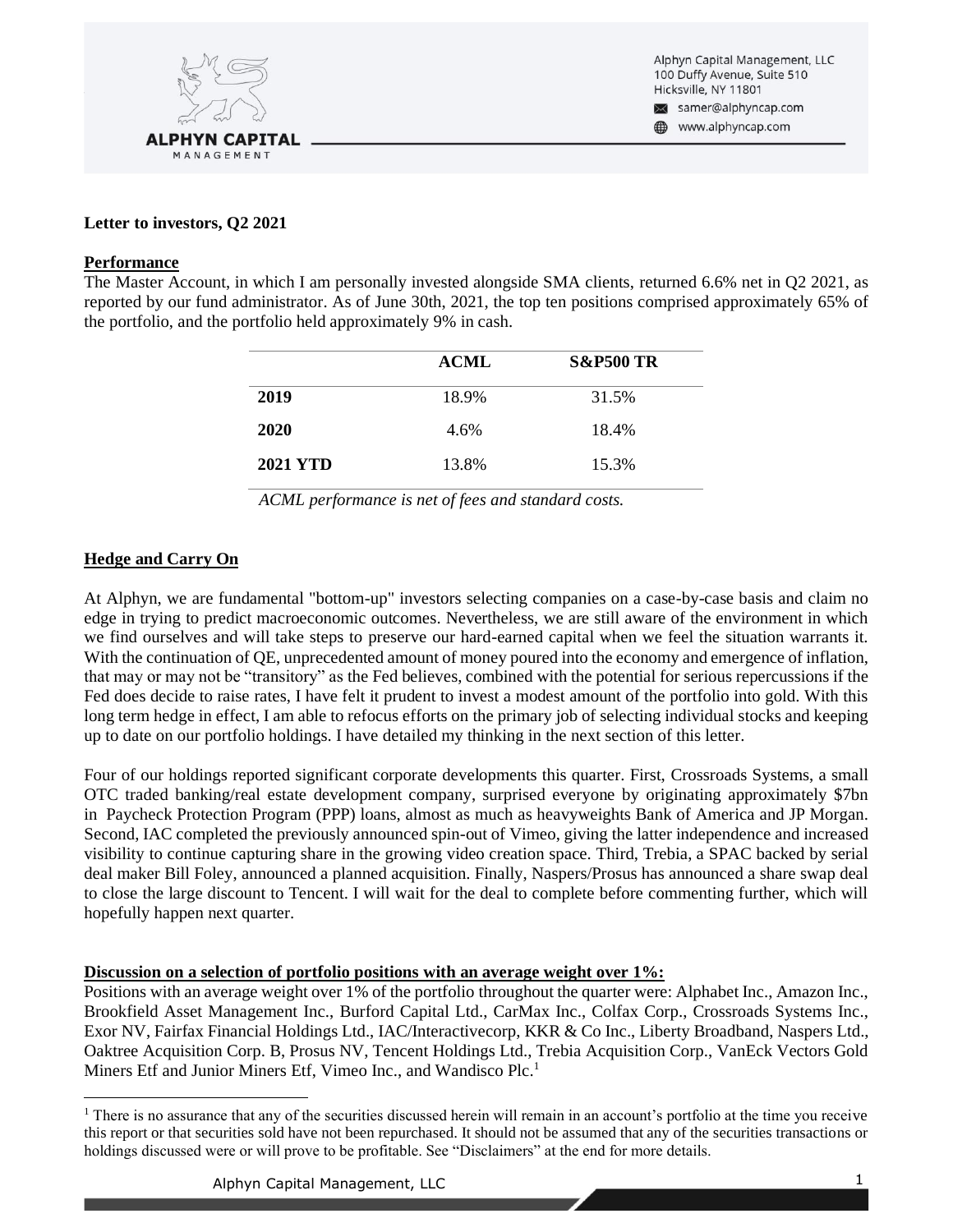

Alphyn Capital Management, LLC 100 Duffy Avenue, Suite 510 Hicksville, NY 11801 samer@alphyncap.com

www.alphyncap.com

# **Letter to investors, Q2 2021**

### **Performance**

The Master Account, in which I am personally invested alongside SMA clients, returned 6.6% net in Q2 2021, as reported by our fund administrator. As of June 30th, 2021, the top ten positions comprised approximately 65% of the portfolio, and the portfolio held approximately 9% in cash.

|                 | <b>ACML</b> | <b>S&amp;P500 TR</b> |
|-----------------|-------------|----------------------|
| 2019            | 18.9%       | 31.5%                |
| 2020            | 4.6%        | 18.4%                |
| <b>2021 YTD</b> | 13.8%       | 15.3%                |

*ACML performance is net of fees and standard costs.*

## **Hedge and Carry On**

At Alphyn, we are fundamental "bottom-up" investors selecting companies on a case-by-case basis and claim no edge in trying to predict macroeconomic outcomes. Nevertheless, we are still aware of the environment in which we find ourselves and will take steps to preserve our hard-earned capital when we feel the situation warrants it. With the continuation of QE, unprecedented amount of money poured into the economy and emergence of inflation, that may or may not be "transitory" as the Fed believes, combined with the potential for serious repercussions if the Fed does decide to raise rates, I have felt it prudent to invest a modest amount of the portfolio into gold. With this long term hedge in effect, I am able to refocus efforts on the primary job of selecting individual stocks and keeping up to date on our portfolio holdings. I have detailed my thinking in the next section of this letter.

Four of our holdings reported significant corporate developments this quarter. First, Crossroads Systems, a small OTC traded banking/real estate development company, surprised everyone by originating approximately \$7bn in Paycheck Protection Program (PPP) loans, almost as much as heavyweights Bank of America and JP Morgan. Second, IAC completed the previously announced spin-out of Vimeo, giving the latter independence and increased visibility to continue capturing share in the growing video creation space. Third, Trebia, a SPAC backed by serial deal maker Bill Foley, announced a planned acquisition. Finally, Naspers/Prosus has announced a share swap deal to close the large discount to Tencent. I will wait for the deal to complete before commenting further, which will hopefully happen next quarter.

## **Discussion on a selection of portfolio positions with an average weight over 1%:**

Positions with an average weight over 1% of the portfolio throughout the quarter were: Alphabet Inc., Amazon Inc., Brookfield Asset Management Inc., Burford Capital Ltd., CarMax Inc., Colfax Corp., Crossroads Systems Inc., Exor NV, Fairfax Financial Holdings Ltd., IAC/Interactivecorp, KKR & Co Inc., Liberty Broadband, Naspers Ltd., Oaktree Acquisition Corp. B, Prosus NV, Tencent Holdings Ltd., Trebia Acquisition Corp., VanEck Vectors Gold Miners Etf and Junior Miners Etf, Vimeo Inc., and Wandisco Plc.<sup>1</sup>

<sup>&</sup>lt;sup>1</sup> There is no assurance that any of the securities discussed herein will remain in an account's portfolio at the time you receive this report or that securities sold have not been repurchased. It should not be assumed that any of the securities transactions or holdings discussed were or will prove to be profitable. See "Disclaimers" at the end for more details.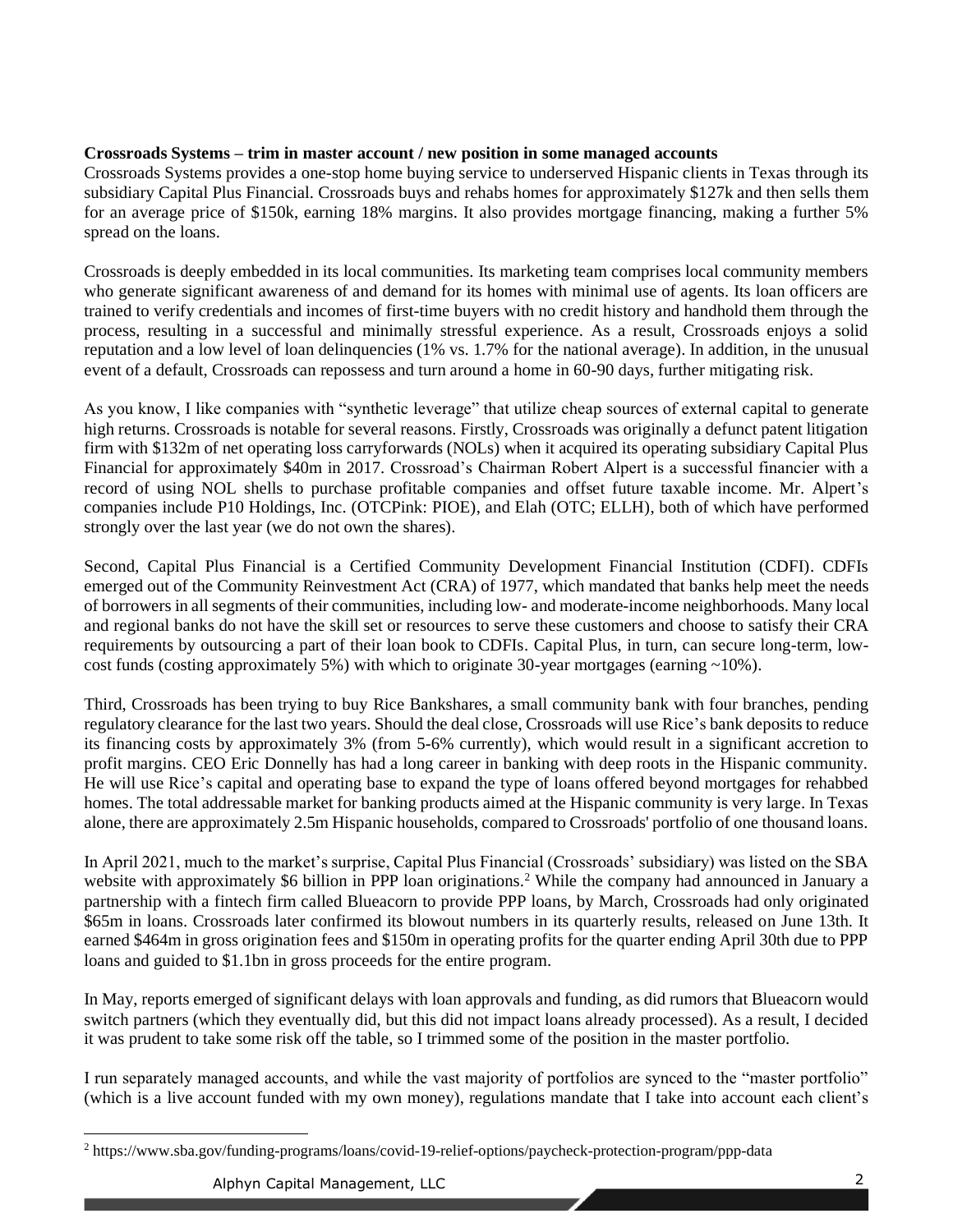# **Crossroads Systems – trim in master account / new position in some managed accounts**

Crossroads Systems provides a one-stop home buying service to underserved Hispanic clients in Texas through its subsidiary Capital Plus Financial. Crossroads buys and rehabs homes for approximately \$127k and then sells them for an average price of \$150k, earning 18% margins. It also provides mortgage financing, making a further 5% spread on the loans.

Crossroads is deeply embedded in its local communities. Its marketing team comprises local community members who generate significant awareness of and demand for its homes with minimal use of agents. Its loan officers are trained to verify credentials and incomes of first-time buyers with no credit history and handhold them through the process, resulting in a successful and minimally stressful experience. As a result, Crossroads enjoys a solid reputation and a low level of loan delinquencies (1% vs. 1.7% for the national average). In addition, in the unusual event of a default, Crossroads can repossess and turn around a home in 60-90 days, further mitigating risk.

As you know, I like companies with "synthetic leverage" that utilize cheap sources of external capital to generate high returns. Crossroads is notable for several reasons. Firstly, Crossroads was originally a defunct patent litigation firm with \$132m of net operating loss carryforwards (NOLs) when it acquired its operating subsidiary Capital Plus Financial for approximately \$40m in 2017. Crossroad's Chairman Robert Alpert is a successful financier with a record of using NOL shells to purchase profitable companies and offset future taxable income. Mr. Alpert's companies include P10 Holdings, Inc. (OTCPink: PIOE), and Elah (OTC; ELLH), both of which have performed strongly over the last year (we do not own the shares).

Second, Capital Plus Financial is a Certified Community Development Financial Institution (CDFI). CDFIs emerged out of the Community Reinvestment Act (CRA) of 1977, which mandated that banks help meet the needs of borrowers in all segments of their communities, including low- and moderate-income neighborhoods. Many local and regional banks do not have the skill set or resources to serve these customers and choose to satisfy their CRA requirements by outsourcing a part of their loan book to CDFIs. Capital Plus, in turn, can secure long-term, lowcost funds (costing approximately 5%) with which to originate 30-year mortgages (earning  $\sim$ 10%).

Third, Crossroads has been trying to buy Rice Bankshares, a small community bank with four branches, pending regulatory clearance for the last two years. Should the deal close, Crossroads will use Rice's bank deposits to reduce its financing costs by approximately 3% (from 5-6% currently), which would result in a significant accretion to profit margins. CEO Eric Donnelly has had a long career in banking with deep roots in the Hispanic community. He will use Rice's capital and operating base to expand the type of loans offered beyond mortgages for rehabbed homes. The total addressable market for banking products aimed at the Hispanic community is very large. In Texas alone, there are approximately 2.5m Hispanic households, compared to Crossroads' portfolio of one thousand loans.

In April 2021, much to the market's surprise, Capital Plus Financial (Crossroads' subsidiary) was listed on the SBA website with approximately \$6 billion in PPP loan originations.<sup>2</sup> While the company had announced in January a partnership with a fintech firm called Blueacorn to provide PPP loans, by March, Crossroads had only originated \$65m in loans. Crossroads later confirmed its blowout numbers in its quarterly results, released on June 13th. It earned \$464m in gross origination fees and \$150m in operating profits for the quarter ending April 30th due to PPP loans and guided to \$1.1bn in gross proceeds for the entire program.

In May, reports emerged of significant delays with loan approvals and funding, as did rumors that Blueacorn would switch partners (which they eventually did, but this did not impact loans already processed). As a result, I decided it was prudent to take some risk off the table, so I trimmed some of the position in the master portfolio.

I run separately managed accounts, and while the vast majority of portfolios are synced to the "master portfolio" (which is a live account funded with my own money), regulations mandate that I take into account each client's

<sup>2</sup> https://www.sba.gov/funding-programs/loans/covid-19-relief-options/paycheck-protection-program/ppp-data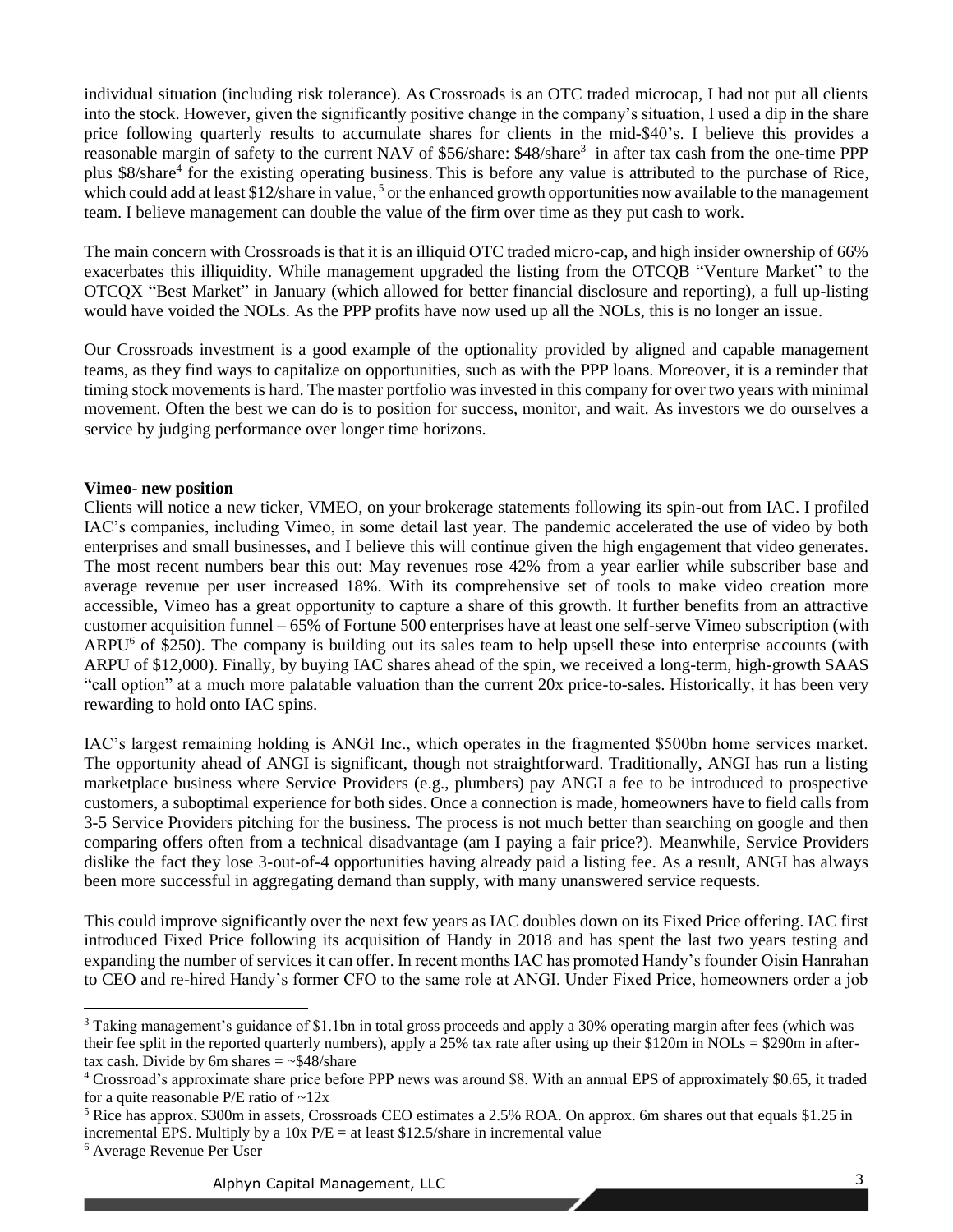individual situation (including risk tolerance). As Crossroads is an OTC traded microcap, I had not put all clients into the stock. However, given the significantly positive change in the company's situation, I used a dip in the share price following quarterly results to accumulate shares for clients in the mid-\$40's. I believe this provides a reasonable margin of safety to the current NAV of \$56/share: \$48/share<sup>3</sup> in after tax cash from the one-time PPP plus \$8/share<sup>4</sup> for the existing operating business. This is before any value is attributed to the purchase of Rice, which could add at least \$12/share in value,<sup>5</sup> or the enhanced growth opportunities now available to the management team. I believe management can double the value of the firm over time as they put cash to work.

The main concern with Crossroads is that it is an illiquid OTC traded micro-cap, and high insider ownership of 66% exacerbates this illiquidity. While management upgraded the listing from the OTCQB "Venture Market" to the OTCQX "Best Market" in January (which allowed for better financial disclosure and reporting), a full up-listing would have voided the NOLs. As the PPP profits have now used up all the NOLs, this is no longer an issue.

Our Crossroads investment is a good example of the optionality provided by aligned and capable management teams, as they find ways to capitalize on opportunities, such as with the PPP loans. Moreover, it is a reminder that timing stock movements is hard. The master portfolio was invested in this company for over two years with minimal movement. Often the best we can do is to position for success, monitor, and wait. As investors we do ourselves a service by judging performance over longer time horizons.

## **Vimeo- new position**

Clients will notice a new ticker, VMEO, on your brokerage statements following its spin-out from IAC. I profiled IAC's companies, including Vimeo, in some detail last year. The pandemic accelerated the use of video by both enterprises and small businesses, and I believe this will continue given the high engagement that video generates. The most recent numbers bear this out: May revenues rose 42% from a year earlier while subscriber base and average revenue per user increased 18%. With its comprehensive set of tools to make video creation more accessible, Vimeo has a great opportunity to capture a share of this growth. It further benefits from an attractive customer acquisition funnel – 65% of Fortune 500 enterprises have at least one self-serve Vimeo subscription (with ARPU<sup>6</sup> of \$250). The company is building out its sales team to help upsell these into enterprise accounts (with ARPU of \$12,000). Finally, by buying IAC shares ahead of the spin, we received a long-term, high-growth SAAS "call option" at a much more palatable valuation than the current 20x price-to-sales. Historically, it has been very rewarding to hold onto IAC spins.

IAC's largest remaining holding is ANGI Inc., which operates in the fragmented \$500bn home services market. The opportunity ahead of ANGI is significant, though not straightforward. Traditionally, ANGI has run a listing marketplace business where Service Providers (e.g., plumbers) pay ANGI a fee to be introduced to prospective customers, a suboptimal experience for both sides. Once a connection is made, homeowners have to field calls from 3-5 Service Providers pitching for the business. The process is not much better than searching on google and then comparing offers often from a technical disadvantage (am I paying a fair price?). Meanwhile, Service Providers dislike the fact they lose 3-out-of-4 opportunities having already paid a listing fee. As a result, ANGI has always been more successful in aggregating demand than supply, with many unanswered service requests.

This could improve significantly over the next few years as IAC doubles down on its Fixed Price offering. IAC first introduced Fixed Price following its acquisition of Handy in 2018 and has spent the last two years testing and expanding the number of services it can offer. In recent months IAC has promoted Handy's founder Oisin Hanrahan to CEO and re-hired Handy's former CFO to the same role at ANGI. Under Fixed Price, homeowners order a job

<sup>3</sup> Taking management's guidance of \$1.1bn in total gross proceeds and apply a 30% operating margin after fees (which was their fee split in the reported quarterly numbers), apply a 25% tax rate after using up their \$120m in NOLs = \$290m in aftertax cash. Divide by 6m shares  $=$  ~\$48/share

<sup>4</sup> Crossroad's approximate share price before PPP news was around \$8. With an annual EPS of approximately \$0.65, it traded for a quite reasonable P/E ratio of  $\sim$ 12x

 $5$  Rice has approx. \$300m in assets, Crossroads CEO estimates a 2.5% ROA. On approx. 6m shares out that equals \$1.25 in incremental EPS. Multiply by a  $10x P/E = at least $12.5/s$  hard in incremental value

<sup>6</sup> Average Revenue Per User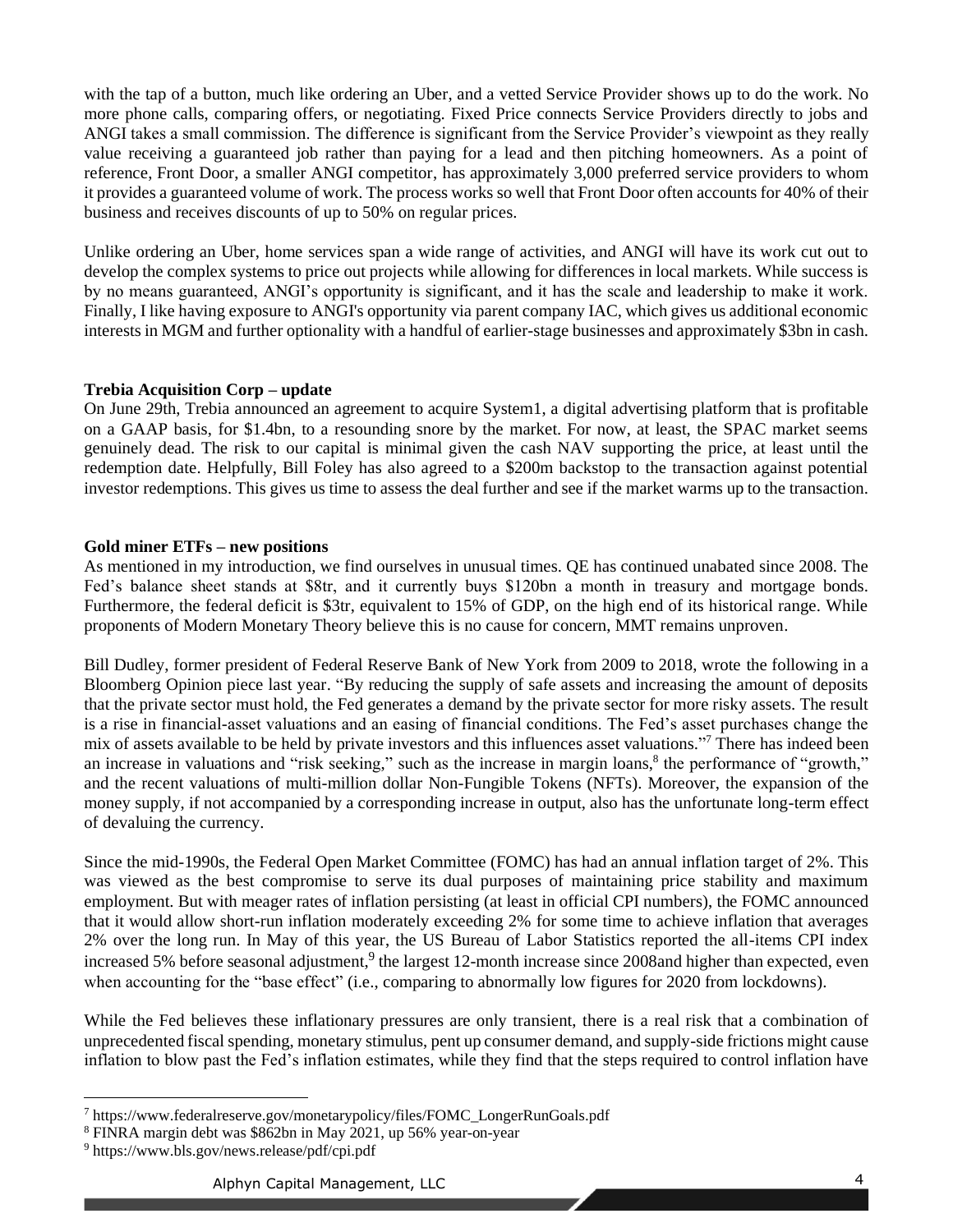with the tap of a button, much like ordering an Uber, and a vetted Service Provider shows up to do the work. No more phone calls, comparing offers, or negotiating. Fixed Price connects Service Providers directly to jobs and ANGI takes a small commission. The difference is significant from the Service Provider's viewpoint as they really value receiving a guaranteed job rather than paying for a lead and then pitching homeowners. As a point of reference, Front Door, a smaller ANGI competitor, has approximately 3,000 preferred service providers to whom it provides a guaranteed volume of work. The process works so well that Front Door often accounts for 40% of their business and receives discounts of up to 50% on regular prices.

Unlike ordering an Uber, home services span a wide range of activities, and ANGI will have its work cut out to develop the complex systems to price out projects while allowing for differences in local markets. While success is by no means guaranteed, ANGI's opportunity is significant, and it has the scale and leadership to make it work. Finally, I like having exposure to ANGI's opportunity via parent company IAC, which gives us additional economic interests in MGM and further optionality with a handful of earlier-stage businesses and approximately \$3bn in cash.

# **Trebia Acquisition Corp – update**

On June 29th, Trebia announced an agreement to acquire System1, a digital advertising platform that is profitable on a GAAP basis, for \$1.4bn, to a resounding snore by the market. For now, at least, the SPAC market seems genuinely dead. The risk to our capital is minimal given the cash NAV supporting the price, at least until the redemption date. Helpfully, Bill Foley has also agreed to a \$200m backstop to the transaction against potential investor redemptions. This gives us time to assess the deal further and see if the market warms up to the transaction.

# **Gold miner ETFs – new positions**

As mentioned in my introduction, we find ourselves in unusual times. QE has continued unabated since 2008. The Fed's balance sheet stands at \$8tr, and it currently buys \$120bn a month in treasury and mortgage bonds. Furthermore, the federal deficit is \$3tr, equivalent to 15% of GDP, on the high end of its historical range. While proponents of Modern Monetary Theory believe this is no cause for concern, MMT remains unproven.

Bill Dudley, former president of Federal Reserve Bank of New York from 2009 to 2018, wrote the following in a Bloomberg Opinion piece last year. "By reducing the supply of safe assets and increasing the amount of deposits that the private sector must hold, the Fed generates a demand by the private sector for more risky assets. The result is a rise in financial-asset valuations and an easing of financial conditions. The Fed's asset purchases change the mix of assets available to be held by private investors and this influences asset valuations."<sup>7</sup> There has indeed been an increase in valuations and "risk seeking," such as the increase in margin loans,<sup>8</sup> the performance of "growth," and the recent valuations of multi-million dollar Non-Fungible Tokens (NFTs). Moreover, the expansion of the money supply, if not accompanied by a corresponding increase in output, also has the unfortunate long-term effect of devaluing the currency.

Since the mid-1990s, the Federal Open Market Committee (FOMC) has had an annual inflation target of 2%. This was viewed as the best compromise to serve its dual purposes of maintaining price stability and maximum employment. But with meager rates of inflation persisting (at least in official CPI numbers), the FOMC announced that it would allow short-run inflation moderately exceeding 2% for some time to achieve inflation that averages 2% over the long run. In May of this year, the US Bureau of Labor Statistics reported the all-items CPI index increased 5% before seasonal adjustment,  $9$  the largest 12-month increase since 2008 and higher than expected, even when accounting for the "base effect" (i.e., comparing to abnormally low figures for 2020 from lockdowns).

While the Fed believes these inflationary pressures are only transient, there is a real risk that a combination of unprecedented fiscal spending, monetary stimulus, pent up consumer demand, and supply-side frictions might cause inflation to blow past the Fed's inflation estimates, while they find that the steps required to control inflation have

<sup>7</sup> https://www.federalreserve.gov/monetarypolicy/files/FOMC\_LongerRunGoals.pdf

<sup>8</sup> FINRA margin debt was \$862bn in May 2021, up 56% year-on-year

<sup>9</sup> https://www.bls.gov/news.release/pdf/cpi.pdf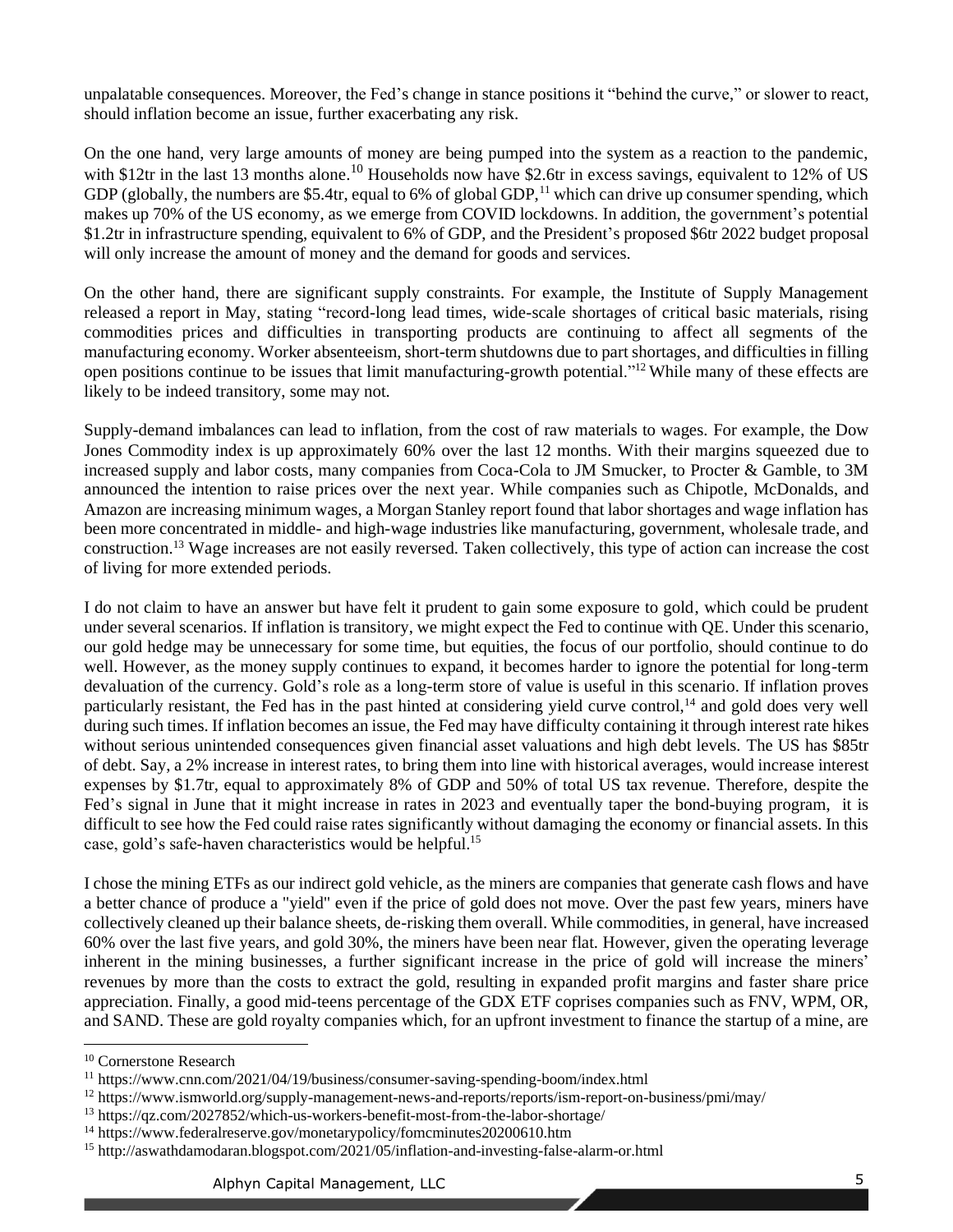unpalatable consequences. Moreover, the Fed's change in stance positions it "behind the curve," or slower to react, should inflation become an issue, further exacerbating any risk.

On the one hand, very large amounts of money are being pumped into the system as a reaction to the pandemic, with \$12tr in the last 13 months alone.<sup>10</sup> Households now have \$2.6tr in excess savings, equivalent to 12% of US GDP (globally, the numbers are \$5.4tr, equal to 6% of global GDP,<sup>11</sup> which can drive up consumer spending, which makes up 70% of the US economy, as we emerge from COVID lockdowns. In addition, the government's potential \$1.2tr in infrastructure spending, equivalent to 6% of GDP, and the President's proposed \$6tr 2022 budget proposal will only increase the amount of money and the demand for goods and services.

On the other hand, there are significant supply constraints. For example, the Institute of Supply Management released a report in May, stating "record-long lead times, wide-scale shortages of critical basic materials, rising commodities prices and difficulties in transporting products are continuing to affect all segments of the manufacturing economy. Worker absenteeism, short-term shutdowns due to part shortages, and difficulties in filling open positions continue to be issues that limit manufacturing-growth potential."<sup>12</sup> While many of these effects are likely to be indeed transitory, some may not.

Supply-demand imbalances can lead to inflation, from the cost of raw materials to wages. For example, the Dow Jones Commodity index is up approximately 60% over the last 12 months. With their margins squeezed due to increased supply and labor costs, many companies from Coca-Cola to JM Smucker, to Procter & Gamble, to 3M announced the intention to raise prices over the next year. While companies such as Chipotle, McDonalds, and Amazon are increasing minimum wages, a Morgan Stanley report found that labor shortages and wage inflation has been more concentrated in middle- and high-wage industries like manufacturing, government, wholesale trade, and construction.<sup>13</sup> Wage increases are not easily reversed. Taken collectively, this type of action can increase the cost of living for more extended periods.

I do not claim to have an answer but have felt it prudent to gain some exposure to gold, which could be prudent under several scenarios. If inflation is transitory, we might expect the Fed to continue with QE. Under this scenario, our gold hedge may be unnecessary for some time, but equities, the focus of our portfolio, should continue to do well. However, as the money supply continues to expand, it becomes harder to ignore the potential for long-term devaluation of the currency. Gold's role as a long-term store of value is useful in this scenario. If inflation proves particularly resistant, the Fed has in the past hinted at considering yield curve control,<sup>14</sup> and gold does very well during such times. If inflation becomes an issue, the Fed may have difficulty containing it through interest rate hikes without serious unintended consequences given financial asset valuations and high debt levels. The US has \$85tr of debt. Say, a 2% increase in interest rates, to bring them into line with historical averages, would increase interest expenses by \$1.7tr, equal to approximately 8% of GDP and 50% of total US tax revenue. Therefore, despite the Fed's signal in June that it might increase in rates in 2023 and eventually taper the bond-buying program, it is difficult to see how the Fed could raise rates significantly without damaging the economy or financial assets. In this case, gold's safe-haven characteristics would be helpful.<sup>15</sup>

I chose the mining ETFs as our indirect gold vehicle, as the miners are companies that generate cash flows and have a better chance of produce a "yield" even if the price of gold does not move. Over the past few years, miners have collectively cleaned up their balance sheets, de-risking them overall. While commodities, in general, have increased 60% over the last five years, and gold 30%, the miners have been near flat. However, given the operating leverage inherent in the mining businesses, a further significant increase in the price of gold will increase the miners' revenues by more than the costs to extract the gold, resulting in expanded profit margins and faster share price appreciation. Finally, a good mid-teens percentage of the GDX ETF coprises companies such as FNV, WPM, OR, and SAND. These are gold royalty companies which, for an upfront investment to finance the startup of a mine, are

<sup>&</sup>lt;sup>10</sup> Cornerstone Research

<sup>11</sup> https://www.cnn.com/2021/04/19/business/consumer-saving-spending-boom/index.html

<sup>12</sup> https://www.ismworld.org/supply-management-news-and-reports/reports/ism-report-on-business/pmi/may/

<sup>13</sup> https://qz.com/2027852/which-us-workers-benefit-most-from-the-labor-shortage/

<sup>&</sup>lt;sup>14</sup> https://www.federalreserve.gov/monetarypolicy/fomcminutes20200610.htm

<sup>15</sup> http://aswathdamodaran.blogspot.com/2021/05/inflation-and-investing-false-alarm-or.html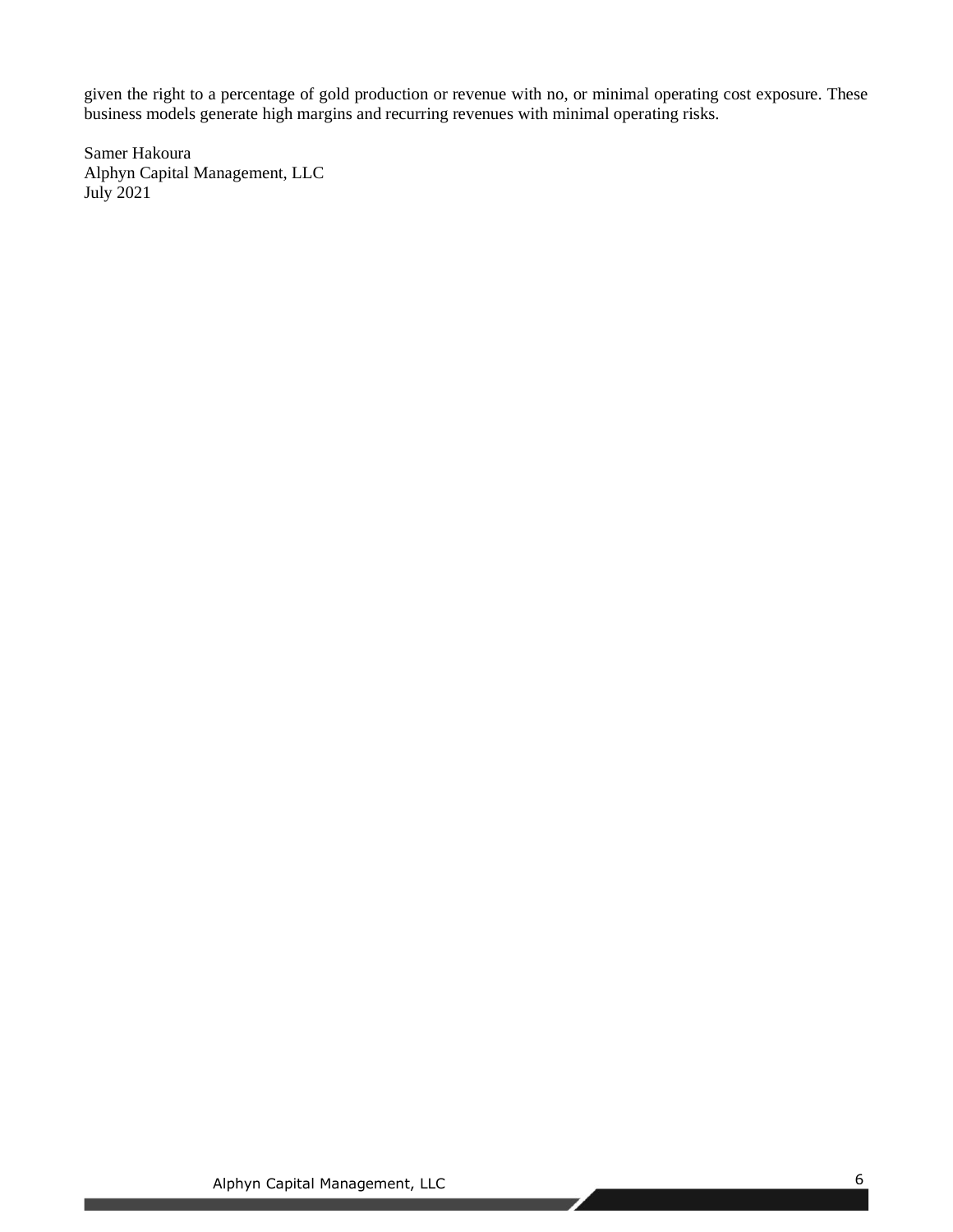given the right to a percentage of gold production or revenue with no, or minimal operating cost exposure. These business models generate high margins and recurring revenues with minimal operating risks.

Samer Hakoura Alphyn Capital Management, LLC July 2021